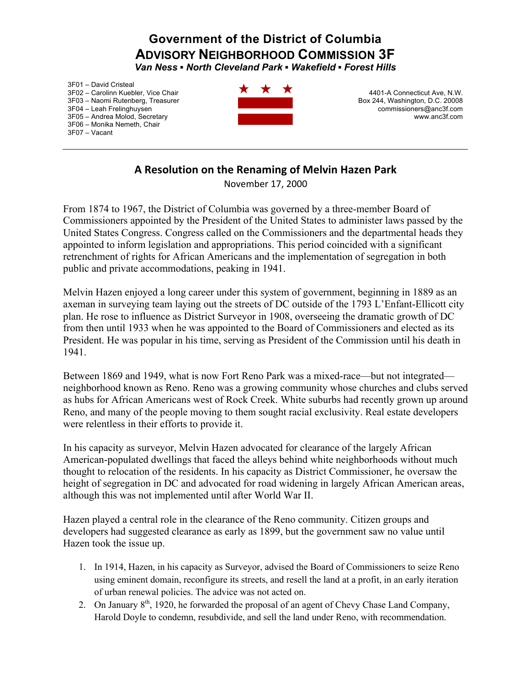## **Government of the District of Columbia ADVISORY NEIGHBORHOOD COMMISSION 3F**

*Van Ness ▪ North Cleveland Park ▪ Wakefield ▪ Forest Hills* 

3F01 – David Cristeal 3F02 – Carolinn Kuebler, Vice Chair 3F03 – Naomi Rutenberg, Treasurer 3F04 – Leah Frelinghuysen 3F05 – Andrea Molod, Secretary 3F06 – Monika Nemeth, Chair 3F07 – Vacant



4401-A Connecticut Ave, N.W. Box 244, Washington, D.C. 20008 commissioners@anc3f.com www.anc3f.com

## **A Resolution on the Renaming of Melvin Hazen Park**

November 17, 2000

From 1874 to 1967, the District of Columbia was governed by a three-member Board of Commissioners appointed by the President of the United States to administer laws passed by the United States Congress. Congress called on the Commissioners and the departmental heads they appointed to inform legislation and appropriations. This period coincided with a significant retrenchment of rights for African Americans and the implementation of segregation in both public and private accommodations, peaking in 1941.

Melvin Hazen enjoyed a long career under this system of government, beginning in 1889 as an axeman in surveying team laying out the streets of DC outside of the 1793 L'Enfant-Ellicott city plan. He rose to influence as District Surveyor in 1908, overseeing the dramatic growth of DC from then until 1933 when he was appointed to the Board of Commissioners and elected as its President. He was popular in his time, serving as President of the Commission until his death in 1941.

Between 1869 and 1949, what is now Fort Reno Park was a mixed-race—but not integrated neighborhood known as Reno. Reno was a growing community whose churches and clubs served as hubs for African Americans west of Rock Creek. White suburbs had recently grown up around Reno, and many of the people moving to them sought racial exclusivity. Real estate developers were relentless in their efforts to provide it.

In his capacity as surveyor, Melvin Hazen advocated for clearance of the largely African American-populated dwellings that faced the alleys behind white neighborhoods without much thought to relocation of the residents. In his capacity as District Commissioner, he oversaw the height of segregation in DC and advocated for road widening in largely African American areas, although this was not implemented until after World War II.

Hazen played a central role in the clearance of the Reno community. Citizen groups and developers had suggested clearance as early as 1899, but the government saw no value until Hazen took the issue up.

- 1. In 1914, Hazen, in his capacity as Surveyor, advised the Board of Commissioners to seize Reno using eminent domain, reconfigure its streets, and resell the land at a profit, in an early iteration of urban renewal policies. The advice was not acted on.
- 2. On January  $8<sup>th</sup>$ , 1920, he forwarded the proposal of an agent of Chevy Chase Land Company, Harold Doyle to condemn, resubdivide, and sell the land under Reno, with recommendation.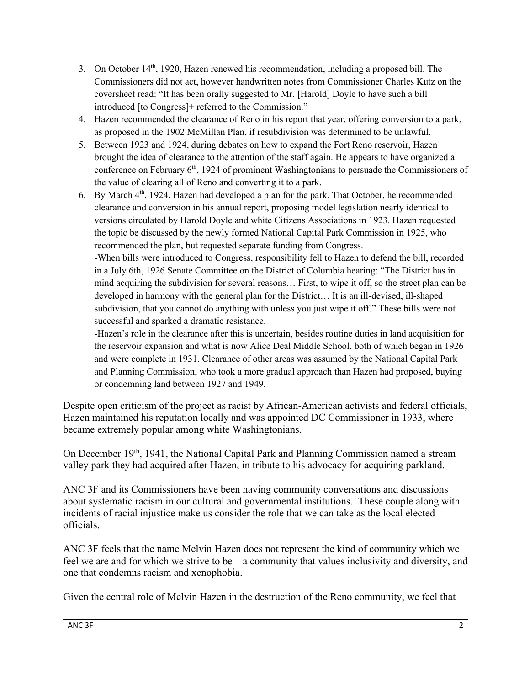- 3. On October  $14<sup>th</sup>$ , 1920, Hazen renewed his recommendation, including a proposed bill. The Commissioners did not act, however handwritten notes from Commissioner Charles Kutz on the coversheet read: "It has been orally suggested to Mr. [Harold] Doyle to have such a bill introduced [to Congress]+ referred to the Commission."
- 4. Hazen recommended the clearance of Reno in his report that year, offering conversion to a park, as proposed in the 1902 McMillan Plan, if resubdivision was determined to be unlawful.
- 5. Between 1923 and 1924, during debates on how to expand the Fort Reno reservoir, Hazen brought the idea of clearance to the attention of the staff again. He appears to have organized a conference on February  $6<sup>th</sup>$ , 1924 of prominent Washingtonians to persuade the Commissioners of the value of clearing all of Reno and converting it to a park.
- 6. By March  $4<sup>th</sup>$ , 1924, Hazen had developed a plan for the park. That October, he recommended clearance and conversion in his annual report, proposing model legislation nearly identical to versions circulated by Harold Doyle and white Citizens Associations in 1923. Hazen requested the topic be discussed by the newly formed National Capital Park Commission in 1925, who recommended the plan, but requested separate funding from Congress.

-When bills were introduced to Congress, responsibility fell to Hazen to defend the bill, recorded in a July 6th, 1926 Senate Committee on the District of Columbia hearing: "The District has in mind acquiring the subdivision for several reasons… First, to wipe it off, so the street plan can be developed in harmony with the general plan for the District… It is an ill-devised, ill-shaped subdivision, that you cannot do anything with unless you just wipe it off." These bills were not successful and sparked a dramatic resistance.

-Hazen's role in the clearance after this is uncertain, besides routine duties in land acquisition for the reservoir expansion and what is now Alice Deal Middle School, both of which began in 1926 and were complete in 1931. Clearance of other areas was assumed by the National Capital Park and Planning Commission, who took a more gradual approach than Hazen had proposed, buying or condemning land between 1927 and 1949.

Despite open criticism of the project as racist by African-American activists and federal officials, Hazen maintained his reputation locally and was appointed DC Commissioner in 1933, where became extremely popular among white Washingtonians.

On December 19th, 1941, the National Capital Park and Planning Commission named a stream valley park they had acquired after Hazen, in tribute to his advocacy for acquiring parkland.

ANC 3F and its Commissioners have been having community conversations and discussions about systematic racism in our cultural and governmental institutions. These couple along with incidents of racial injustice make us consider the role that we can take as the local elected officials.

ANC 3F feels that the name Melvin Hazen does not represent the kind of community which we feel we are and for which we strive to be – a community that values inclusivity and diversity, and one that condemns racism and xenophobia.

Given the central role of Melvin Hazen in the destruction of the Reno community, we feel that